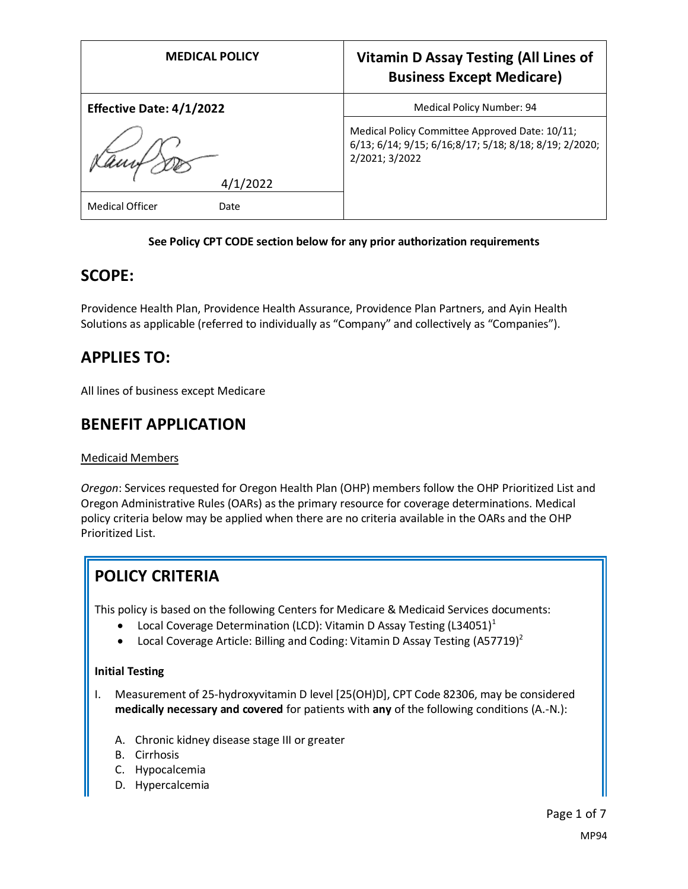| <b>MEDICAL POLICY</b>           | <b>Vitamin D Assay Testing (All Lines of</b><br><b>Business Except Medicare)</b>                                            |
|---------------------------------|-----------------------------------------------------------------------------------------------------------------------------|
| <b>Effective Date: 4/1/2022</b> | Medical Policy Number: 94                                                                                                   |
| 4/1/2022                        | Medical Policy Committee Approved Date: 10/11;<br>6/13; 6/14; 9/15; 6/16; 8/17; 5/18; 8/18; 8/19; 2/2020;<br>2/2021; 3/2022 |
| <b>Medical Officer</b><br>Date  |                                                                                                                             |

## **See Policy CPT CODE section below for any prior authorization requirements**

## **SCOPE:**

Providence Health Plan, Providence Health Assurance, Providence Plan Partners, and Ayin Health Solutions as applicable (referred to individually as "Company" and collectively as "Companies").

# **APPLIES TO:**

All lines of business except Medicare

## **BENEFIT APPLICATION**

#### Medicaid Members

*Oregon*: Services requested for Oregon Health Plan (OHP) members follow the OHP Prioritized List and Oregon Administrative Rules (OARs) as the primary resource for coverage determinations. Medical policy criteria below may be applied when there are no criteria available in the OARs and the OHP Prioritized List.

# **POLICY CRITERIA**

This policy is based on the following Centers for Medicare & Medicaid Services documents:

- Local Coverage Determination (LCD): Vitamin D Assay Testing (L34051)<sup>1</sup>
- **Local Coverage Article: Billing and Coding: Vitamin D Assay Testing (A57719)**<sup>2</sup>

#### **Initial Testing**

- I. Measurement of 25-hydroxyvitamin D level [25(OH)D], CPT Code 82306, may be considered **medically necessary and covered** for patients with **any** of the following conditions (A.-N.):
	- A. Chronic kidney disease stage III or greater
	- B. Cirrhosis
	- C. Hypocalcemia
	- D. Hypercalcemia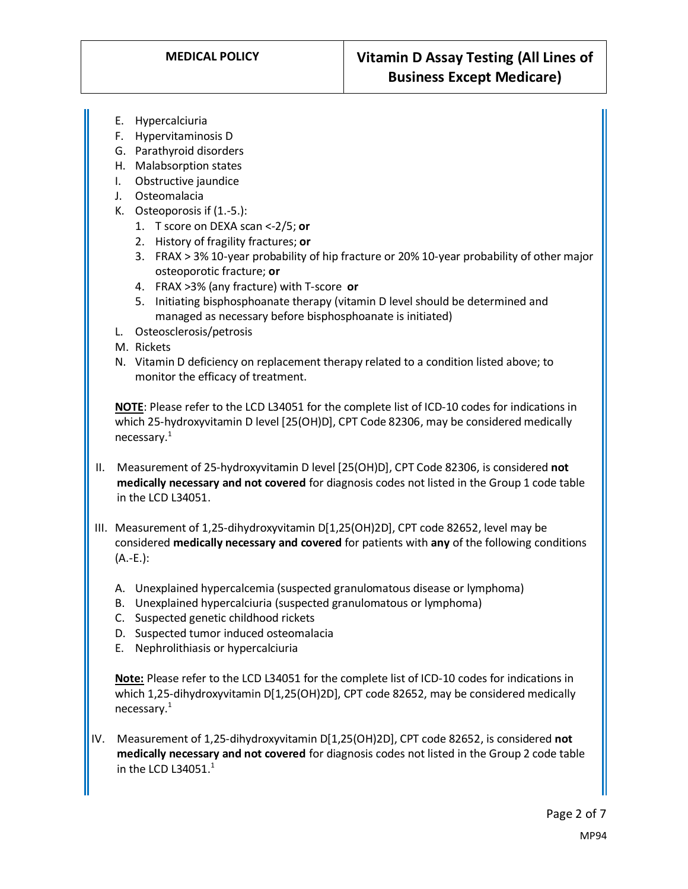- E. Hypercalciuria
- F. Hypervitaminosis D
- G. Parathyroid disorders
- H. Malabsorption states
- I. Obstructive jaundice
- J. Osteomalacia
- K. Osteoporosis if (1.-5.):
	- 1. T score on DEXA scan <-2/5; **or**
	- 2. History of fragility fractures; **or**
	- 3. FRAX > 3% 10-year probability of hip fracture or 20% 10-year probability of other major osteoporotic fracture; **or**
	- 4. FRAX >3% (any fracture) with T-score **or**
	- 5. Initiating bisphosphoanate therapy (vitamin D level should be determined and managed as necessary before bisphosphoanate is initiated)
- L. Osteosclerosis/petrosis
- M. Rickets
- N. Vitamin D deficiency on replacement therapy related to a condition listed above; to monitor the efficacy of treatment.

**NOTE**: Please refer to the LCD L34051 for the complete list of ICD-10 codes for indications in which 25-hydroxyvitamin D level [25(OH)D], CPT Code 82306, may be considered medically necessary.<sup>1</sup>

- II. Measurement of 25-hydroxyvitamin D level [25(OH)D], CPT Code 82306, is considered **not medically necessary and not covered** for diagnosis codes not listed in the Group 1 code table in the LCD L34051.
- III. Measurement of 1,25-dihydroxyvitamin D[1,25(OH)2D], CPT code 82652, level may be considered **medically necessary and covered** for patients with **any** of the following conditions (A.-E.):
	- A. Unexplained hypercalcemia (suspected granulomatous disease or lymphoma)
	- B. Unexplained hypercalciuria (suspected granulomatous or lymphoma)
	- C. Suspected genetic childhood rickets
	- D. Suspected tumor induced osteomalacia
	- E. Nephrolithiasis or hypercalciuria

**Note:** Please refer to the LCD L34051 for the complete list of ICD-10 codes for indications in which 1,25-dihydroxyvitamin D[1,25(OH)2D], CPT code 82652, may be considered medically necessary.<sup>1</sup>

IV. Measurement of 1,25-dihydroxyvitamin D[1,25(OH)2D], CPT code 82652, is considered **not medically necessary and not covered** for diagnosis codes not listed in the Group 2 code table in the LCD L34051. $<sup>1</sup>$ </sup>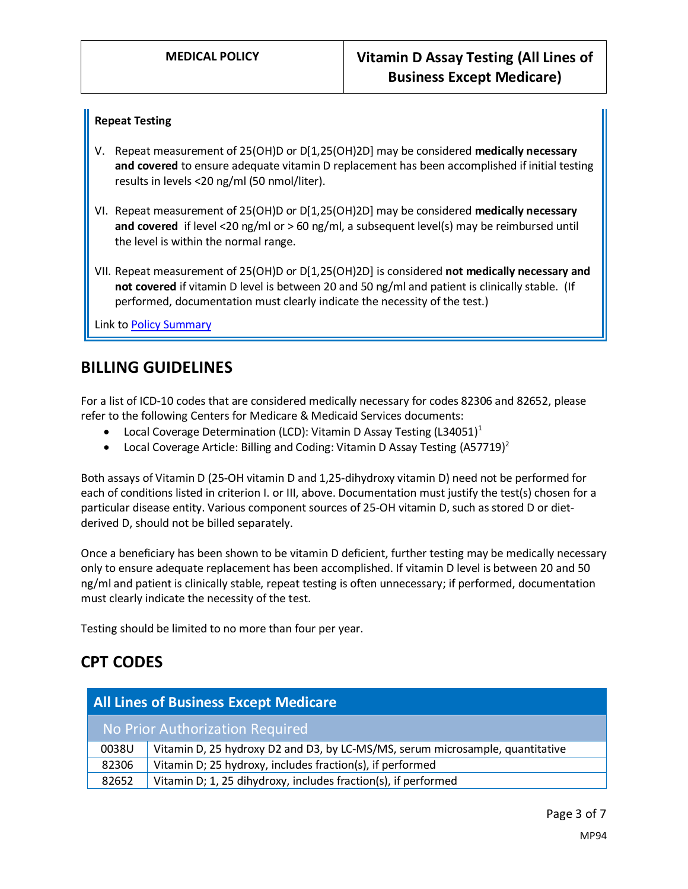## **Repeat Testing**

- V. Repeat measurement of 25(OH)D or D[1,25(OH)2D] may be considered **medically necessary and covered** to ensure adequate vitamin D replacement has been accomplished if initial testing results in levels <20 ng/ml (50 nmol/liter).
- VI. Repeat measurement of 25(OH)D or D[1,25(OH)2D] may be considered **medically necessary and covered** if level <20 ng/ml or > 60 ng/ml, a subsequent level(s) may be reimbursed until the level is within the normal range.
- VII. Repeat measurement of 25(OH)D or D[1,25(OH)2D] is considered **not medically necessary and not covered** if vitamin D level is between 20 and 50 ng/ml and patient is clinically stable. (If performed, documentation must clearly indicate the necessity of the test.)

Link t[o Policy Summary](#page-5-0)

# **BILLING GUIDELINES**

For a list of ICD-10 codes that are considered medically necessary for codes 82306 and 82652, please refer to the following Centers for Medicare & Medicaid Services documents:

- Local Coverage Determination (LCD): Vitamin D Assay Testing (L34051)<sup>1</sup>
- Local Coverage Article: Billing and Coding: Vitamin D Assay Testing  $(A57719)^2$

Both assays of Vitamin D (25-OH vitamin D and 1,25-dihydroxy vitamin D) need not be performed for each of conditions listed in criterion I. or III, above. Documentation must justify the test(s) chosen for a particular disease entity. Various component sources of 25-OH vitamin D, such as stored D or dietderived D, should not be billed separately.

Once a beneficiary has been shown to be vitamin D deficient, further testing may be medically necessary only to ensure adequate replacement has been accomplished. If vitamin D level is between 20 and 50 ng/ml and patient is clinically stable, repeat testing is often unnecessary; if performed, documentation must clearly indicate the necessity of the test.

Testing should be limited to no more than four per year.

# **CPT CODES**

| <b>All Lines of Business Except Medicare</b> |                                                                               |
|----------------------------------------------|-------------------------------------------------------------------------------|
| No Prior Authorization Required              |                                                                               |
| 0038U                                        | Vitamin D, 25 hydroxy D2 and D3, by LC-MS/MS, serum microsample, quantitative |
| 82306                                        | Vitamin D; 25 hydroxy, includes fraction(s), if performed                     |
| 82652                                        | Vitamin D; 1, 25 dihydroxy, includes fraction(s), if performed                |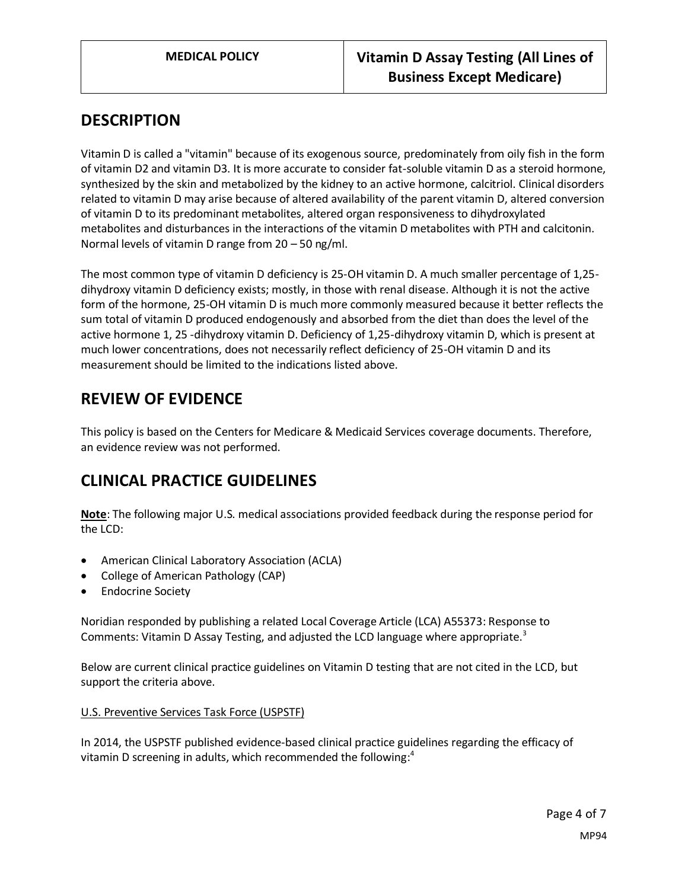# **DESCRIPTION**

Vitamin D is called a "vitamin" because of its exogenous source, predominately from oily fish in the form of vitamin D2 and vitamin D3. It is more accurate to consider fat-soluble vitamin D as a steroid hormone, synthesized by the skin and metabolized by the kidney to an active hormone, calcitriol. Clinical disorders related to vitamin D may arise because of altered availability of the parent vitamin D, altered conversion of vitamin D to its predominant metabolites, altered organ responsiveness to dihydroxylated metabolites and disturbances in the interactions of the vitamin D metabolites with PTH and calcitonin. Normal levels of vitamin D range from 20 – 50 ng/ml.

The most common type of vitamin D deficiency is 25-OH vitamin D. A much smaller percentage of 1,25 dihydroxy vitamin D deficiency exists; mostly, in those with renal disease. Although it is not the active form of the hormone, 25-OH vitamin D is much more commonly measured because it better reflects the sum total of vitamin D produced endogenously and absorbed from the diet than does the level of the active hormone 1, 25 -dihydroxy vitamin D. Deficiency of 1,25-dihydroxy vitamin D, which is present at much lower concentrations, does not necessarily reflect deficiency of 25-OH vitamin D and its measurement should be limited to the indications listed above.

# **REVIEW OF EVIDENCE**

This policy is based on the Centers for Medicare & Medicaid Services coverage documents. Therefore, an evidence review was not performed.

# **CLINICAL PRACTICE GUIDELINES**

**Note**: The following major U.S. medical associations provided feedback during the response period for the LCD:

- American Clinical Laboratory Association (ACLA)
- College of American Pathology (CAP)
- **Endocrine Society**

Noridian responded by publishing a related Local Coverage Article (LCA) A55373: Response to Comments: Vitamin D Assay Testing, and adjusted the LCD language where appropriate.<sup>3</sup>

Below are current clinical practice guidelines on Vitamin D testing that are not cited in the LCD, but support the criteria above.

## U.S. Preventive Services Task Force (USPSTF)

In 2014, the USPSTF published evidence-based clinical practice guidelines regarding the efficacy of vitamin D screening in adults, which recommended the following:<sup>4</sup>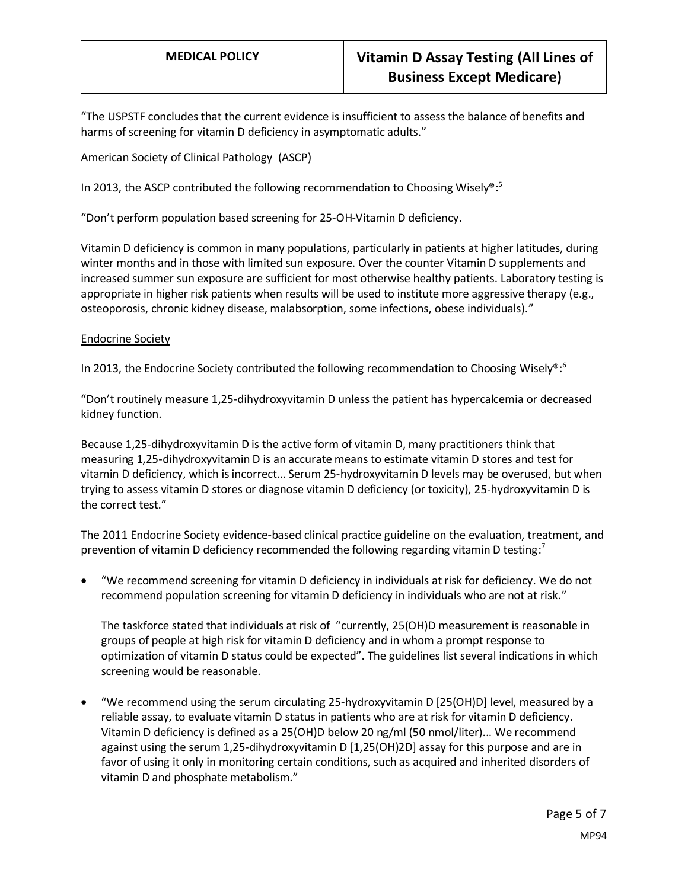"The USPSTF concludes that the current evidence is insufficient to assess the balance of benefits and harms of screening for vitamin D deficiency in asymptomatic adults."

#### American Society of Clinical Pathology (ASCP)

In 2013, the ASCP contributed the following recommendation to Choosing Wisely®:<sup>5</sup>

"Don't perform population based screening for 25-OH-Vitamin D deficiency.

Vitamin D deficiency is common in many populations, particularly in patients at higher latitudes, during winter months and in those with limited sun exposure. Over the counter Vitamin D supplements and increased summer sun exposure are sufficient for most otherwise healthy patients. Laboratory testing is appropriate in higher risk patients when results will be used to institute more aggressive therapy (e.g., osteoporosis, chronic kidney disease, malabsorption, some infections, obese individuals)."

#### Endocrine Society

In 2013, the Endocrine Society contributed the following recommendation to Choosing Wisely®:<sup>6</sup>

"Don't routinely measure 1,25-dihydroxyvitamin D unless the patient has hypercalcemia or decreased kidney function.

Because 1,25-dihydroxyvitamin D is the active form of vitamin D, many practitioners think that measuring 1,25-dihydroxyvitamin D is an accurate means to estimate vitamin D stores and test for vitamin D deficiency, which is incorrect… Serum 25-hydroxyvitamin D levels may be overused, but when trying to assess vitamin D stores or diagnose vitamin D deficiency (or toxicity), 25-hydroxyvitamin D is the correct test."

The 2011 Endocrine Society evidence-based clinical practice guideline on the evaluation, treatment, and prevention of vitamin D deficiency recommended the following regarding vitamin D testing:<sup>7</sup>

• "We recommend screening for vitamin D deficiency in individuals at risk for deficiency. We do not recommend population screening for vitamin D deficiency in individuals who are not at risk."

The taskforce stated that individuals at risk of "currently, 25(OH)D measurement is reasonable in groups of people at high risk for vitamin D deficiency and in whom a prompt response to optimization of vitamin D status could be expected". The guidelines list several indications in which screening would be reasonable.

• "We recommend using the serum circulating 25-hydroxyvitamin D [25(OH)D] level, measured by a reliable assay, to evaluate vitamin D status in patients who are at risk for vitamin D deficiency. Vitamin D deficiency is defined as a 25(OH)D below 20 ng/ml (50 nmol/liter)... We recommend against using the serum 1,25-dihydroxyvitamin D [1,25(OH)2D] assay for this purpose and are in favor of using it only in monitoring certain conditions, such as acquired and inherited disorders of vitamin D and phosphate metabolism."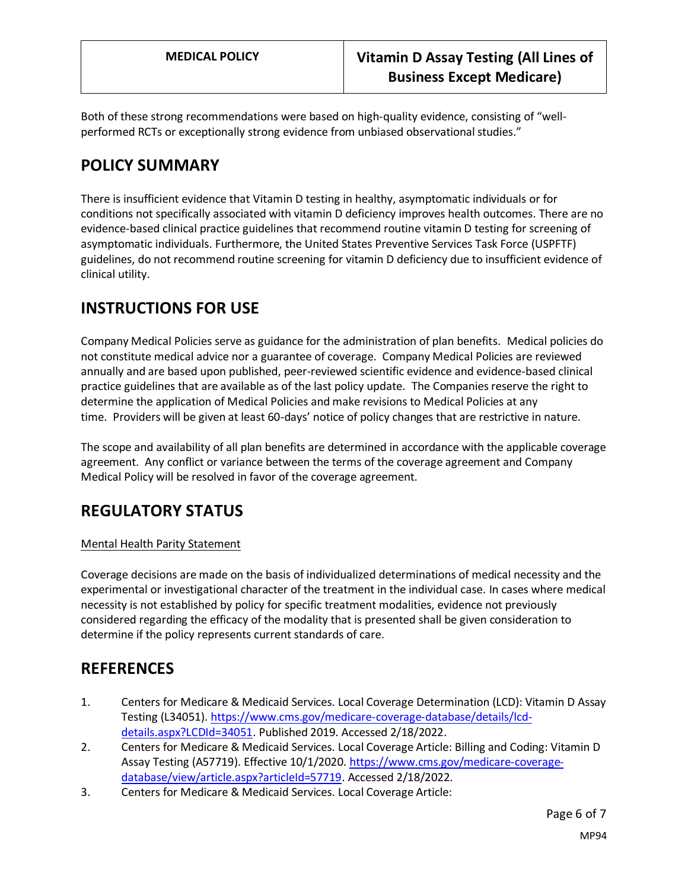Both of these strong recommendations were based on high-quality evidence, consisting of "wellperformed RCTs or exceptionally strong evidence from unbiased observational studies."

# <span id="page-5-0"></span>**POLICY SUMMARY**

There is insufficient evidence that Vitamin D testing in healthy, asymptomatic individuals or for conditions not specifically associated with vitamin D deficiency improves health outcomes. There are no evidence-based clinical practice guidelines that recommend routine vitamin D testing for screening of asymptomatic individuals. Furthermore, the United States Preventive Services Task Force (USPFTF) guidelines, do not recommend routine screening for vitamin D deficiency due to insufficient evidence of clinical utility.

# **INSTRUCTIONS FOR USE**

Company Medical Policies serve as guidance for the administration of plan benefits. Medical policies do not constitute medical advice nor a guarantee of coverage. Company Medical Policies are reviewed annually and are based upon published, peer-reviewed scientific evidence and evidence-based clinical practice guidelines that are available as of the last policy update. The Companies reserve the right to determine the application of Medical Policies and make revisions to Medical Policies at any time. Providers will be given at least 60-days' notice of policy changes that are restrictive in nature.

The scope and availability of all plan benefits are determined in accordance with the applicable coverage agreement. Any conflict or variance between the terms of the coverage agreement and Company Medical Policy will be resolved in favor of the coverage agreement.

# **REGULATORY STATUS**

## Mental Health Parity Statement

Coverage decisions are made on the basis of individualized determinations of medical necessity and the experimental or investigational character of the treatment in the individual case. In cases where medical necessity is not established by policy for specific treatment modalities, evidence not previously considered regarding the efficacy of the modality that is presented shall be given consideration to determine if the policy represents current standards of care.

# **REFERENCES**

- 1. Centers for Medicare & Medicaid Services. Local Coverage Determination (LCD): Vitamin D Assay Testing (L34051). [https://www.cms.gov/medicare-coverage-database/details/lcd](https://www.cms.gov/medicare-coverage-database/details/lcd-details.aspx?LCDId=34051)[details.aspx?LCDId=34051.](https://www.cms.gov/medicare-coverage-database/details/lcd-details.aspx?LCDId=34051) Published 2019. Accessed 2/18/2022.
- 2. Centers for Medicare & Medicaid Services. Local Coverage Article: Billing and Coding: Vitamin D Assay Testing (A57719). Effective 10/1/2020. [https://www.cms.gov/medicare-coverage](https://www.cms.gov/medicare-coverage-database/view/article.aspx?articleId=57719)[database/view/article.aspx?articleId=57719.](https://www.cms.gov/medicare-coverage-database/view/article.aspx?articleId=57719) Accessed 2/18/2022.
- 3. Centers for Medicare & Medicaid Services. Local Coverage Article: